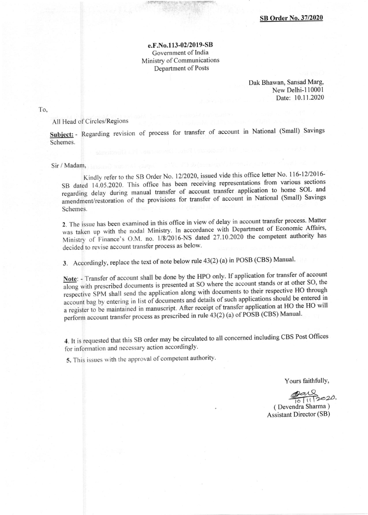e.F.No.l 13-02/2019-SB Government of India Ministry of Communications Department of Posts

> Dak Bhawan, Sansad Marg, New Delhi-l 10001 Date: 10.11.2020

To.

All Head of Circles/Regions

Subject: - Regarding revision of process for transfer of account in National (Small) Savings Schemes.

Sir / Madam,

Kindly refer to the SB Order No. 12/2020, issued vide this office letter No. 116-12/2016-SB dated 14.05.2020. This office has been receiving representations from various sections regarding delay during manual transfer of account transfer application to home SOL and amendment/restoration of the provisions for transfer of account in National (Small) Savings Schemes.

2. The issue has been examined in this office in view of delay in account transfer process. Matter  $\mu$  is the issue has been chain the modal Ministry. In accordance with Department of Economic Affairs, Was taken up with the hoddi *Million* 2016-NS dated 27.10.2020 the competent authority has Ministry of Finance's O.M. no. 1/8/2016-NS dated 27.10.2020 the competent authority has decided to revise account transfer process as below.

3. Accordingly, replace the text of note below rule 43(2) (a) in POSB (CBS) Manual'

Note: - Transfer of account shall be done by the HPO only. If application for transfer of account along with prescribed documents is presented at SO where the account stands or at other SO, the respective SPM shall send the application along with documents to their respective HO through<br>account bag by entering in list of documents and details of such applications should be entered in account bag by entering in list of documents and details of such applications should be entered in<br>a register to be maintained in manuscript. After receipt of transfer application at HO the HO will perform account transfer process as prescribed in rule 43(2) (a) of POSB (CBS) Manual.

4. It is requested that this SB order may be circulated to all concerned including CBS Post Offices for information and necessary action accordingly.

5. This issues with the approval of competent authority.

Yours faithfully,

 $\frac{10}{10}$  ( Devendra Sharma )

Assistant Director (SB)